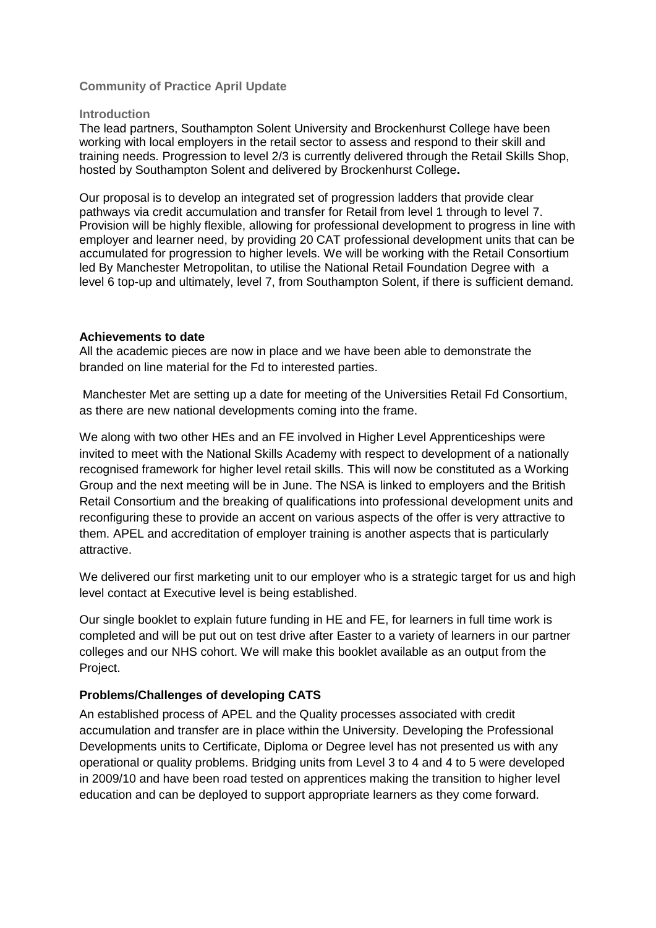## **Community of Practice April Update**

### **Introduction**

The lead partners, Southampton Solent University and Brockenhurst College have been working with local employers in the retail sector to assess and respond to their skill and training needs. Progression to level 2/3 is currently delivered through the Retail Skills Shop, hosted by Southampton Solent and delivered by Brockenhurst College**.**

Our proposal is to develop an integrated set of progression ladders that provide clear pathways via credit accumulation and transfer for Retail from level 1 through to level 7. Provision will be highly flexible, allowing for professional development to progress in line with employer and learner need, by providing 20 CAT professional development units that can be accumulated for progression to higher levels. We will be working with the Retail Consortium led By Manchester Metropolitan, to utilise the National Retail Foundation Degree with a level 6 top-up and ultimately, level 7, from Southampton Solent, if there is sufficient demand.

### **Achievements to date**

All the academic pieces are now in place and we have been able to demonstrate the branded on line material for the Fd to interested parties.

Manchester Met are setting up a date for meeting of the Universities Retail Fd Consortium, as there are new national developments coming into the frame.

We along with two other HEs and an FE involved in Higher Level Apprenticeships were invited to meet with the National Skills Academy with respect to development of a nationally recognised framework for higher level retail skills. This will now be constituted as a Working Group and the next meeting will be in June. The NSA is linked to employers and the British Retail Consortium and the breaking of qualifications into professional development units and reconfiguring these to provide an accent on various aspects of the offer is very attractive to them. APEL and accreditation of employer training is another aspects that is particularly attractive.

We delivered our first marketing unit to our employer who is a strategic target for us and high level contact at Executive level is being established.

Our single booklet to explain future funding in HE and FE, for learners in full time work is completed and will be put out on test drive after Easter to a variety of learners in our partner colleges and our NHS cohort. We will make this booklet available as an output from the Project.

## **Problems/Challenges of developing CATS**

An established process of APEL and the Quality processes associated with credit accumulation and transfer are in place within the University. Developing the Professional Developments units to Certificate, Diploma or Degree level has not presented us with any operational or quality problems. Bridging units from Level 3 to 4 and 4 to 5 were developed in 2009/10 and have been road tested on apprentices making the transition to higher level education and can be deployed to support appropriate learners as they come forward.